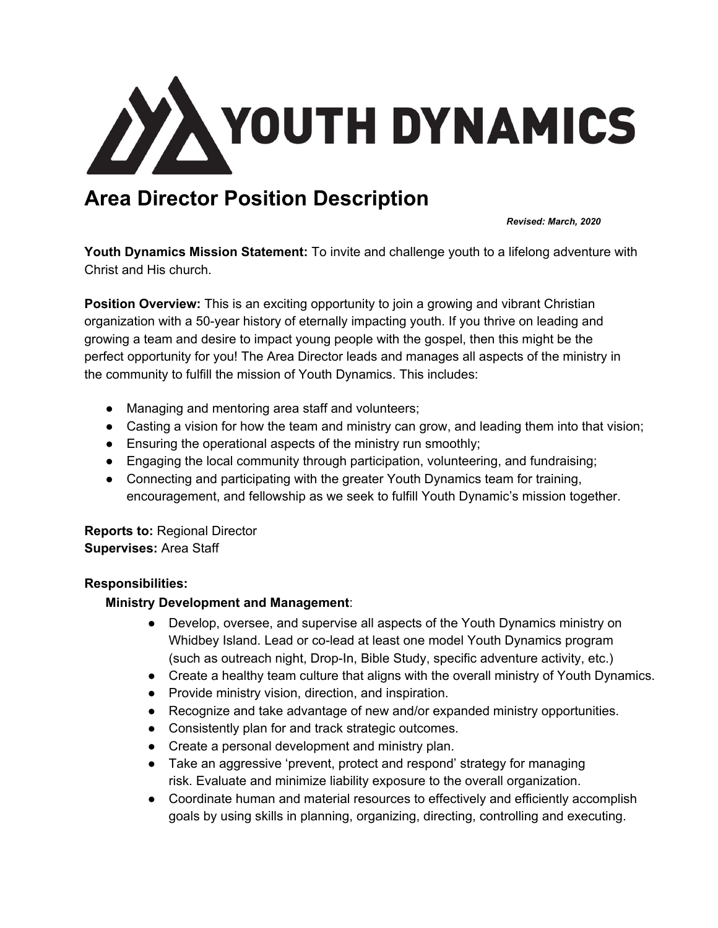

# **Area Director Position Description**

*Revised: March, 2020*

**Youth Dynamics Mission Statement:** To invite and challenge youth to a lifelong adventure with Christ and His church.

**Position Overview:** This is an exciting opportunity to join a growing and vibrant Christian organization with a 50-year history of eternally impacting youth. If you thrive on leading and growing a team and desire to impact young people with the gospel, then this might be the perfect opportunity for you! The Area Director leads and manages all aspects of the ministry in the community to fulfill the mission of Youth Dynamics. This includes:

- Managing and mentoring area staff and volunteers;
- Casting a vision for how the team and ministry can grow, and leading them into that vision;
- Ensuring the operational aspects of the ministry run smoothly;
- Engaging the local community through participation, volunteering, and fundraising;
- Connecting and participating with the greater Youth Dynamics team for training, encouragement, and fellowship as we seek to fulfill Youth Dynamic's mission together.

**Reports to:** Regional Director **Supervises:** Area Staff

# **Responsibilities:**

# **Ministry Development and Management**:

- Develop, oversee, and supervise all aspects of the Youth Dynamics ministry on Whidbey Island. Lead or co-lead at least one model Youth Dynamics program (such as outreach night, Drop-In, Bible Study, specific adventure activity, etc.)
- Create a healthy team culture that aligns with the overall ministry of Youth Dynamics.
- Provide ministry vision, direction, and inspiration.
- Recognize and take advantage of new and/or expanded ministry opportunities.
- Consistently plan for and track strategic outcomes.
- Create a personal development and ministry plan.
- Take an aggressive 'prevent, protect and respond' strategy for managing risk. Evaluate and minimize liability exposure to the overall organization.
- Coordinate human and material resources to effectively and efficiently accomplish goals by using skills in planning, organizing, directing, controlling and executing.